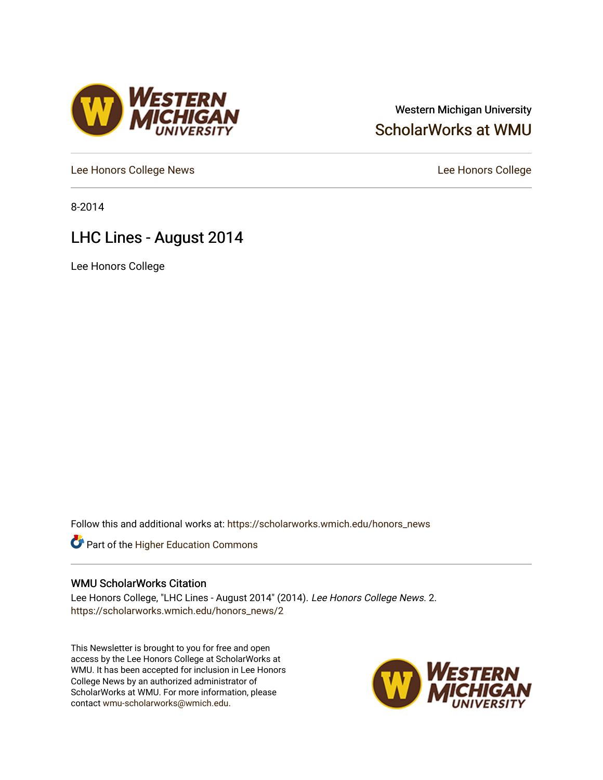# Western Michigan University [ScholarWorks at WMU](https://scholarworks.wmich.edu/)

[Lee Honors College News](https://scholarworks.wmich.edu/honors_news) **Lee Honors College** 

8-2014

# LHC Lines - August 2014

Lee Honors College

Follow this and additional works at: [https://scholarworks.wmich.edu/honors\\_news](https://scholarworks.wmich.edu/honors_news?utm_source=scholarworks.wmich.edu%2Fhonors_news%2F2&utm_medium=PDF&utm_campaign=PDFCoverPages)



## WMU ScholarWorks Citation

Lee Honors College, "LHC Lines - August 2014" (2014). Lee Honors College News. 2. [https://scholarworks.wmich.edu/honors\\_news/2](https://scholarworks.wmich.edu/honors_news/2?utm_source=scholarworks.wmich.edu%2Fhonors_news%2F2&utm_medium=PDF&utm_campaign=PDFCoverPages) 

This Newsletter is brought to you for free and open access by the Lee Honors College at ScholarWorks at WMU. It has been accepted for inclusion in Lee Honors College News by an authorized administrator of ScholarWorks at WMU. For more information, please contact [wmu-scholarworks@wmich.edu](mailto:wmu-scholarworks@wmich.edu).



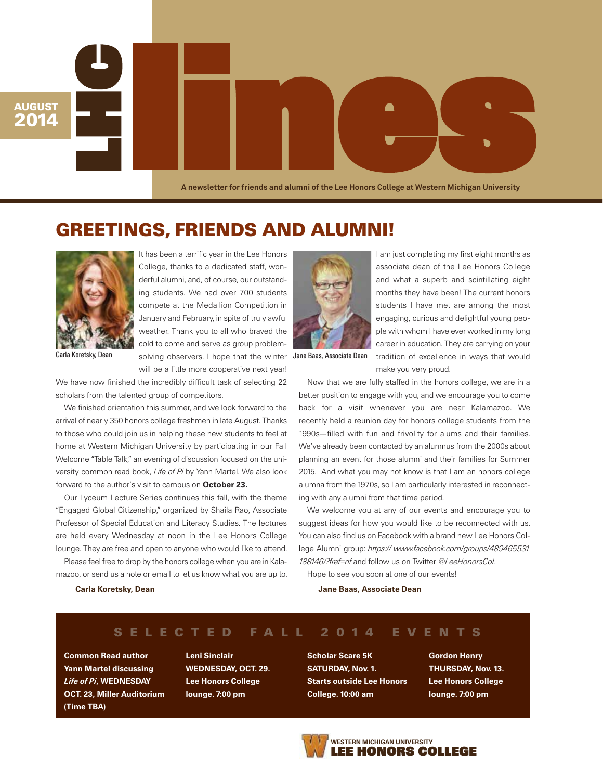LA newsletter for friends and alumni of the Lee Honors College at Western Michigan University **A newsletter for friends and alumni of the Lee Honors College at Western Michigan University**

**GREETINGS, FRIENDS AND ALUMNI!**



**AUGUST 2014**

It has been a terrific year in the Lee Honors College, thanks to a dedicated staff, wonderful alumni, and, of course, our outstanding students. We had over 700 students compete at the Medallion Competition in January and February, in spite of truly awful weather. Thank you to all who braved the cold to come and serve as group problem-Carla Koretsky, Dean solving observers. I hope that the winter Jane Baas, Associate Dean will be a little more cooperative next year!

We have now finished the incredibly difficult task of selecting 22 scholars from the talented group of competitors.

We finished orientation this summer, and we look forward to the arrival of nearly 350 honors college freshmen in late August. Thanks to those who could join us in helping these new students to feel at home at Western Michigan University by participating in our Fall Welcome "Table Talk," an evening of discussion focused on the university common read book, *Life of Pi* by Yann Martel. We also look forward to the author's visit to campus on October 23.

Our Lyceum Lecture Series continues this fall, with the theme "Engaged Global Citizenship," organized by Shaila Rao, Associate Professor of Special Education and Literacy Studies. The lectures are held every Wednesday at noon in the Lee Honors College lounge. They are free and open to anyone who would like to attend.

Please feel free to drop by the honors college when you are in Kalamazoo, or send us a note or email to let us know what you are up to.



I am just completing my first eight months as associate dean of the Lee Honors College and what a superb and scintillating eight months they have been! The current honors students I have met are among the most engaging, curious and delightful young people with whom I have ever worked in my long career in education. They are carrying on your tradition of excellence in ways that would

make you very proud. Now that we are fully staffed in the honors college, we are in a

better position to engage with you, and we encourage you to come back for a visit whenever you are near Kalamazoo. We recently held a reunion day for honors college students from the 1990s—filled with fun and frivolity for alums and their families. We've already been contacted by an alumnus from the 2000s about planning an event for those alumni and their families for Summer 2015. And what you may not know is that I am an honors college alumna from the 1970s, so I am particularly interested in reconnecting with any alumni from that time period.

We welcome you at any of our events and encourage you to suggest ideas for how you would like to be reconnected with us. You can also find us on Facebook with a brand new Lee Honors College Alumni group: *https:// www.facebook.com/groups/489465531 188146/?fref=nf* and follow us on Twitter *@LeeHonorsCol.*

Hope to see you soon at one of our events!

#### Jane Baas, Associate Dean

#### Carla Koretsky, Dean

# **S E L E C T E D F A L L 2 0 1 4 E V E N T S**

Common Read author Yann Martel discussing *Life of Pi*, WEDNESDAY OCT. 23, Miller Auditorium (Time TBA)

Leni Sinclair WEDNESDAY, OCT. 29. Lee Honors College lounge. 7:00 pm

Scholar Scare 5K SATURDAY, Nov. 1. Starts outside Lee Honors College. 10:00 am

Gordon Henry THURSDAY, Nov. 13. Lee Honors College lounge. 7:00 pm

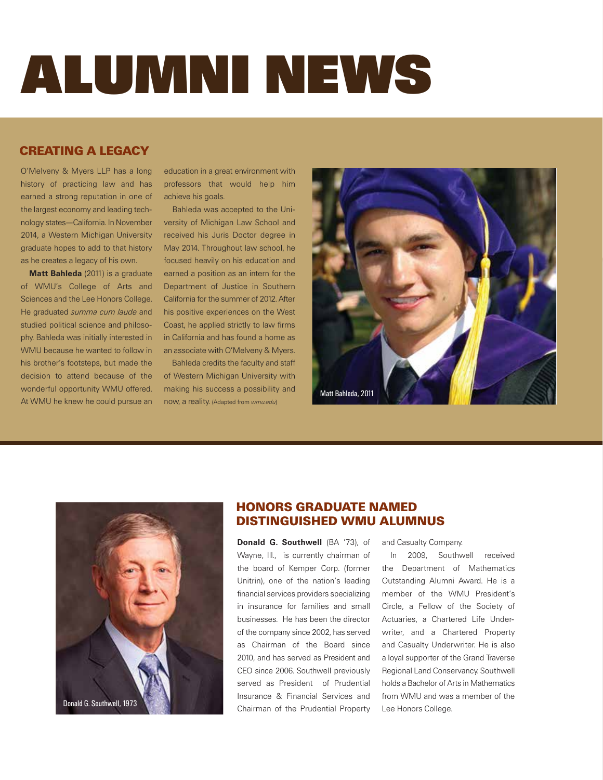# ALUMNI NEWS

# **CREATING A LEGACY**

O'Melveny & Myers LLP has a long history of practicing law and has earned a strong reputation in one of the largest economy and leading technology states—California. In November 2014, a Western Michigan University graduate hopes to add to that history as he creates a legacy of his own.

Matt Bahleda (2011) is a graduate of WMU's College of Arts and Sciences and the Lee Honors College. He graduated *summa cum laude* and studied political science and philosophy. Bahleda was initially interested in WMU because he wanted to follow in his brother's footsteps, but made the decision to attend because of the wonderful opportunity WMU offered. At WMU he knew he could pursue an

education in a great environment with professors that would help him achieve his goals.

Bahleda was accepted to the University of Michigan Law School and received his Juris Doctor degree in May 2014. Throughout law school, he focused heavily on his education and earned a position as an intern for the Department of Justice in Southern California for the summer of 2012. After his positive experiences on the West Coast, he applied strictly to law firms in California and has found a home as an associate with O'Melveny & Myers.

Bahleda credits the faculty and staff of Western Michigan University with making his success a possibility and now, a reality. (Adapted from *wmu.edu*)





# **HONORS GRADUATE NAMED DISTINGUISHED WMU ALUMNUS**

Donald G. Southwell (BA '73), of Wayne, Ill., is currently chairman of the board of Kemper Corp. (former Unitrin), one of the nation's leading financial services providers specializing in insurance for families and small businesses. He has been the director of the company since 2002, has served as Chairman of the Board since 2010, and has served as President and CEO since 2006. Southwell previously served as President of Prudential Insurance & Financial Services and Chairman of the Prudential Property

and Casualty Company.

In 2009, Southwell received the Department of Mathematics Outstanding Alumni Award. He is a member of the WMU President's Circle, a Fellow of the Society of Actuaries, a Chartered Life Underwriter, and a Chartered Property and Casualty Underwriter. He is also a loyal supporter of the Grand Traverse Regional Land Conservancy. Southwell holds a Bachelor of Arts in Mathematics from WMU and was a member of the Lee Honors College.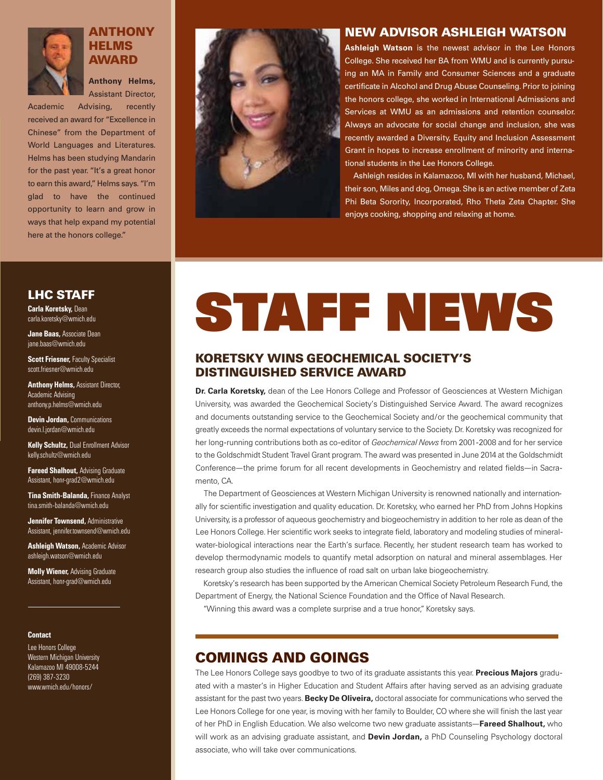

# **ANTHONY HELMS AWARD**

Anthony Helms, Assistant Director, Academic Advising, recently

received an award for "Excellence in Chinese" from the Department of World Languages and Literatures. Helms has been studying Mandarin for the past year. "It's a great honor to earn this award," Helms says. "I'm glad to have the continued opportunity to learn and grow in ways that help expand my potential here at the honors college."

# **LHC STAFF**

**Carla Koretsky, Dean** carla.koretsky@wmich.edu

Jane Baas, Associate Dean jane.baas@wmich.edu

**Scott Friesner, Faculty Specialist** scott.friesner@wmich.edu

**Anthony Helms, Assistant Director,** Academic Advising anthony.p.helms@wmich.edu

**Devin Jordan, Communications** devin.l.jordan@wmich.edu

**Kelly Schultz, Dual Enrollment Advisor** kelly.schultz@wmich.edu

**Fareed Shalhout, Advising Graduate** Assistant, honr-grad2@wmich.edu

**Tina Smith-Balanda, Finance Analyst** tina.smith-balanda@wmich.edu

**Jennifer Townsend, Administrative** Assistant, jennifer.townsend@wmich.edu

**Ashleigh Watson, Academic Advisor** ashleigh.watson@wmich.edu

**Molly Wiener, Advising Graduate** Assistant, honr-grad@wmich.edu

### **Contact**

Lee Honors College Western Michigan University Kalamazoo MI 49008-5244 (269) 387-3230 www.wmich.edu/honors/



# **NEW ADVISOR ASHLEIGH WATSON**

Ashleigh Watson is the newest advisor in the Lee Honors College. She received her BA from WMU and is currently pursuing an MA in Family and Consumer Sciences and a graduate certificate in Alcohol and Drug Abuse Counseling. Prior to joining the honors college, she worked in International Admissions and Services at WMU as an admissions and retention counselor. Always an advocate for social change and inclusion, she was recently awarded a Diversity, Equity and Inclusion Assessment Grant in hopes to increase enrollment of minority and international students in the Lee Honors College.

Ashleigh resides in Kalamazoo, MI with her husband, Michael, their son, Miles and dog, Omega. She is an active member of Zeta Phi Beta Sorority, Incorporated, Rho Theta Zeta Chapter. She enjoys cooking, shopping and relaxing at home.

# STAFF NEWS

# **KORETSKY WINS GEOCHEMICAL SOCIETY'S DISTINGUISHED SERVICE AWARD**

Dr. Carla Koretsky, dean of the Lee Honors College and Professor of Geosciences at Western Michigan University, was awarded the Geochemical Society's Distinguished Service Award. The award recognizes and documents outstanding service to the Geochemical Society and/or the geochemical community that greatly exceeds the normal expectations of voluntary service to the Society. Dr. Koretsky was recognized for her long-running contributions both as co-editor of *Geochemical News* from 2001-2008 and for her service to the Goldschmidt Student Travel Grant program. The award was presented in June 2014 at the Goldschmidt Conference—the prime forum for all recent developments in Geochemistry and related fields—in Sacramento, CA.

The Department of Geosciences at Western Michigan University is renowned nationally and internationally for scientific investigation and quality education. Dr. Koretsky, who earned her PhD from Johns Hopkins University, is a professor of aqueous geochemistry and biogeochemistry in addition to her role as dean of the Lee Honors College. Her scientific work seeks to integrate field, laboratory and modeling studies of mineralwater-biological interactions near the Earth's surface. Recently, her student research team has worked to develop thermodynamic models to quantify metal adsorption on natural and mineral assemblages. Her research group also studies the influence of road salt on urban lake biogeochemistry.

Koretsky's research has been supported by the American Chemical Society Petroleum Research Fund, the Department of Energy, the National Science Foundation and the Office of Naval Research.

"Winning this award was a complete surprise and a true honor," Koretsky says.

# **COMINGS AND GOINGS**

The Lee Honors College says goodbye to two of its graduate assistants this year. Precious Majors graduated with a master's in Higher Education and Student Affairs after having served as an advising graduate assistant for the past two years. Becky De Oliveira, doctoral associate for communications who served the Lee Honors College for one year, is moving with her family to Boulder, CO where she will finish the last year of her PhD in English Education. We also welcome two new graduate assistants-Fareed Shalhout, who will work as an advising graduate assistant, and Devin Jordan, a PhD Counseling Psychology doctoral associate, who will take over communications.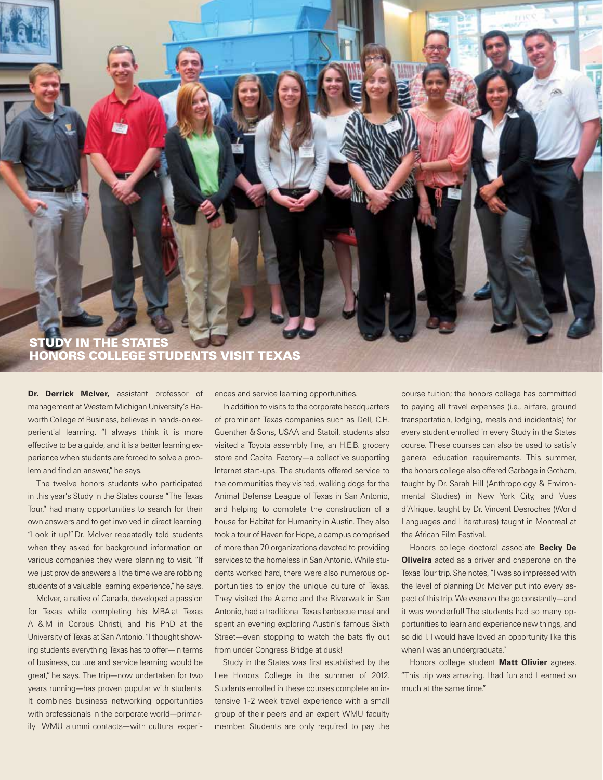# **STUDY IN THE STATES HONORS COLLEGE STUDENTS VISIT TEXAS**

Dr. Derrick McIver, assistant professor of management at Western Michigan University's Haworth College of Business, believes in hands-on experiential learning. "I always think it is more effective to be a guide, and it is a better learning experience when students are forced to solve a problem and find an answer," he says.

The twelve honors students who participated in this year's Study in the States course "The Texas Tour," had many opportunities to search for their own answers and to get involved in direct learning. "Look it up!" Dr. McIver repeatedly told students when they asked for background information on various companies they were planning to visit. "If we just provide answers all the time we are robbing students of a valuable learning experience," he says.

McIver, a native of Canada, developed a passion for Texas while completing his MBA at Texas A & M in Corpus Christi, and his PhD at the University of Texas at San Antonio. "I thought showing students everything Texas has to offer—in terms of business, culture and service learning would be great," he says. The trip—now undertaken for two years running—has proven popular with students. It combines business networking opportunities with professionals in the corporate world—primarily WMU alumni contacts—with cultural experiences and service learning opportunities.

In addition to visits to the corporate headquarters of prominent Texas companies such as Dell, C.H. Guenther & Sons, USAA and Statoil, students also visited a Toyota assembly line, an H.E.B. grocery store and Capital Factory—a collective supporting Internet start-ups. The students offered service to the communities they visited, walking dogs for the Animal Defense League of Texas in San Antonio, and helping to complete the construction of a house for Habitat for Humanity in Austin. They also took a tour of Haven for Hope, a campus comprised of more than 70 organizations devoted to providing services to the homeless in San Antonio. While students worked hard, there were also numerous opportunities to enjoy the unique culture of Texas. They visited the Alamo and the Riverwalk in San Antonio, had a traditional Texas barbecue meal and spent an evening exploring Austin's famous Sixth Street—even stopping to watch the bats fly out from under Congress Bridge at dusk!

Study in the States was first established by the Lee Honors College in the summer of 2012. Students enrolled in these courses complete an intensive 1-2 week travel experience with a small group of their peers and an expert WMU faculty member. Students are only required to pay the

course tuition; the honors college has committed to paying all travel expenses (i.e., airfare, ground transportation, lodging, meals and incidentals) for every student enrolled in every Study in the States course. These courses can also be used to satisfy general education requirements. This summer, the honors college also offered Garbage in Gotham, taught by Dr. Sarah Hill (Anthropology & Environmental Studies) in New York City, and Vues d'Afrique, taught by Dr. Vincent Desroches (World Languages and Literatures) taught in Montreal at the African Film Festival.

Honors college doctoral associate Becky De **Oliveira** acted as a driver and chaperone on the Texas Tour trip. She notes, "I was so impressed with the level of planning Dr. McIver put into every aspect of this trip. We were on the go constantly—and it was wonderful! The students had so many opportunities to learn and experience new things, and so did I. I would have loved an opportunity like this when I was an undergraduate."

Honors college student Matt Olivier agrees. "This trip was amazing. I had fun and I learned so much at the same time."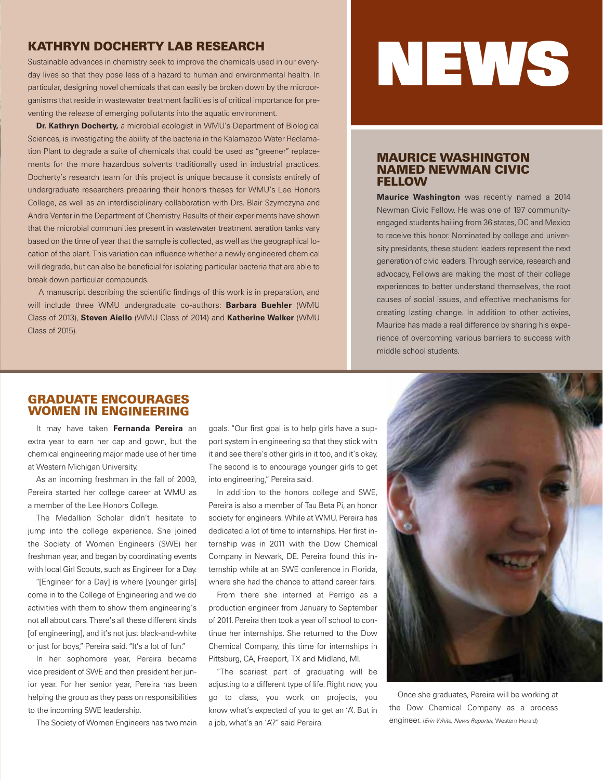# **KATHRYN DOCHERTY LAB RESEARCH**

Sustainable advances in chemistry seek to improve the chemicals used in our everyday lives so that they pose less of a hazard to human and environmental health. In particular, designing novel chemicals that can easily be broken down by the microorganisms that reside in wastewater treatment facilities is of critical importance for preventing the release of emerging pollutants into the aquatic environment.

Dr. Kathryn Docherty, a microbial ecologist in WMU's Department of Biological Sciences, is investigating the ability of the bacteria in the Kalamazoo Water Reclamation Plant to degrade a suite of chemicals that could be used as "greener" replacements for the more hazardous solvents traditionally used in industrial practices. Docherty's research team for this project is unique because it consists entirely of undergraduate researchers preparing their honors theses for WMU's Lee Honors College, as well as an interdisciplinary collaboration with Drs. Blair Szymczyna and Andre Venter in the Department of Chemistry. Results of their experiments have shown that the microbial communities present in wastewater treatment aeration tanks vary based on the time of year that the sample is collected, as well as the geographical location of the plant. This variation can influence whether a newly engineered chemical will degrade, but can also be beneficial for isolating particular bacteria that are able to break down particular compounds.

A manuscript describing the scientific findings of this work is in preparation, and will include three WMU undergraduate co-authors: Barbara Buehler (WMU Class of 2013), Steven Aiello (WMU Class of 2014) and Katherine Walker (WMU Class of 2015).

# NEWS

### **MAURICE WASHINGTON NAMED NEWMAN CIVIC FELLOW**

Maurice Washington was recently named a 2014 Newman Civic Fellow. He was one of 197 communityengaged students hailing from 36 states, DC and Mexico to receive this honor. Nominated by college and university presidents, these student leaders represent the next generation of civic leaders. Through service, research and advocacy, Fellows are making the most of their college experiences to better understand themselves, the root causes of social issues, and effective mechanisms for creating lasting change. In addition to other activies, Maurice has made a real difference by sharing his experience of overcoming various barriers to success with middle school students.

### **GRADUATE ENCOURAGES WOMEN IN ENGINEERING**

It may have taken Fernanda Pereira an extra year to earn her cap and gown, but the chemical engineering major made use of her time at Western Michigan University.

As an incoming freshman in the fall of 2009, Pereira started her college career at WMU as a member of the Lee Honors College.

The Medallion Scholar didn't hesitate to jump into the college experience. She joined the Society of Women Engineers (SWE) her freshman year, and began by coordinating events with local Girl Scouts, such as Engineer for a Day.

"[Engineer for a Day] is where [younger girls] come in to the College of Engineering and we do activities with them to show them engineering's not all about cars. There's all these different kinds [of engineering], and it's not just black-and-white or just for boys," Pereira said. "It's a lot of fun."

In her sophomore year, Pereira became vice president of SWE and then president her junior year. For her senior year, Pereira has been helping the group as they pass on responsibilities to the incoming SWE leadership.

The Society of Women Engineers has two main

goals. "Our first goal is to help girls have a support system in engineering so that they stick with it and see there's other girls in it too, and it's okay. The second is to encourage younger girls to get into engineering," Pereira said.

In addition to the honors college and SWE, Pereira is also a member of Tau Beta Pi, an honor society for engineers. While at WMU, Pereira has dedicated a lot of time to internships. Her first internship was in 2011 with the Dow Chemical Company in Newark, DE. Pereira found this internship while at an SWE conference in Florida, where she had the chance to attend career fairs.

From there she interned at Perrigo as a production engineer from January to September of 2011. Pereira then took a year off school to continue her internships. She returned to the Dow Chemical Company, this time for internships in Pittsburg, CA, Freeport, TX and Midland, MI.

"The scariest part of graduating will be adjusting to a different type of life. Right now, you go to class, you work on projects, you know what's expected of you to get an 'A'. But in a job, what's an 'A'?" said Pereira.



Once she graduates, Pereira will be working at the Dow Chemical Company as a process engineer. (*Erin White, News Reporter,* Western Herald)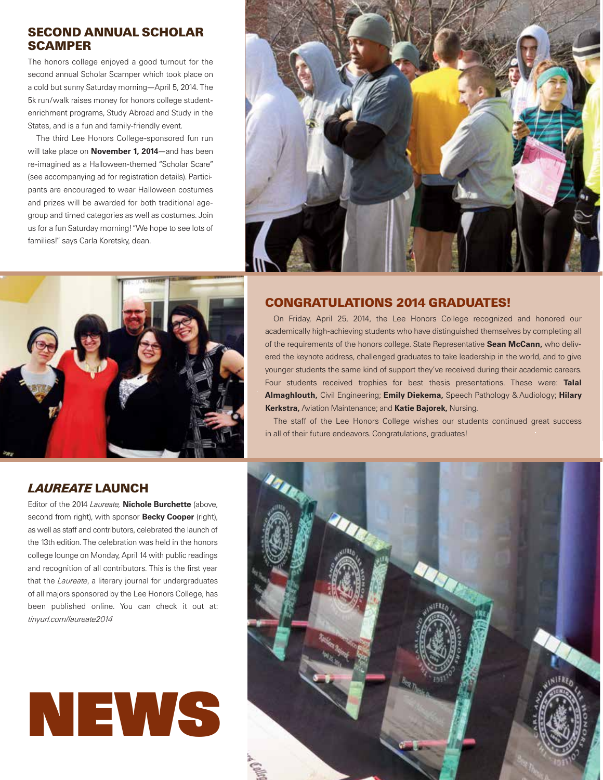# **SECOND ANNUAL SCHOLAR SCAMPER**

The honors college enjoyed a good turnout for the second annual Scholar Scamper which took place on a cold but sunny Saturday morning—April 5, 2014. The 5k run/walk raises money for honors college studentenrichment programs, Study Abroad and Study in the States, and is a fun and family-friendly event.

The third Lee Honors College-sponsored fun run will take place on **November 1, 2014**—and has been re-imagined as a Halloween-themed "Scholar Scare" (see accompanying ad for registration details). Participants are encouraged to wear Halloween costumes and prizes will be awarded for both traditional agegroup and timed categories as well as costumes. Join us for a fun Saturday morning! "We hope to see lots of families!" says Carla Koretsky, dean.





## **CONGRATULATIONS 2014 GRADUATES!**

On Friday, April 25, 2014, the Lee Honors College recognized and honored our academically high-achieving students who have distinguished themselves by completing all of the requirements of the honors college. State Representative Sean McCann, who delivered the keynote address, challenged graduates to take leadership in the world, and to give younger students the same kind of support they've received during their academic careers. Four students received trophies for best thesis presentations. These were: Talal Almaghlouth, Civil Engineering; Emily Diekema, Speech Pathology & Audiology; Hilary Kerkstra, Aviation Maintenance; and Katie Bajorek, Nursing.

The staff of the Lee Honors College wishes our students continued great success in all of their future endeavors. Congratulations, graduates!

# *LAUREATE* **LAUNCH**

Editor of the 2014 *Laureate,* Nichole Burchette (above, second from right), with sponsor **Becky Cooper** (right), as well as staff and contributors, celebrated the launch of the 13th edition. The celebration was held in the honors college lounge on Monday, April 14 with public readings and recognition of all contributors. This is the first year that the *Laureate*, a literary journal for undergraduates of all majors sponsored by the Lee Honors College, has been published online. You can check it out at: *tinyurl.com/laureate2014*



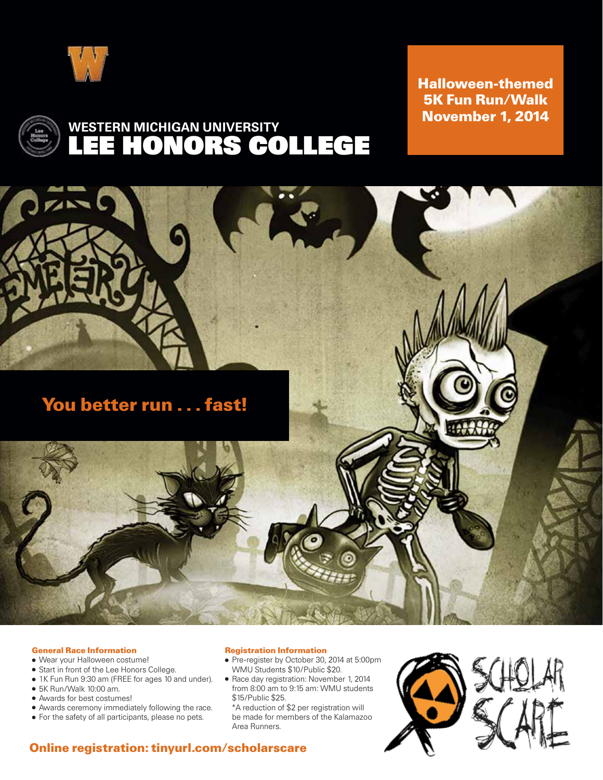

**Halloween-themed 5K Fun Run/Walk November 1, 2014**



# LEE HONORS COLLEGE WESTERN MICHIGAN UNIVERSITY



### **General Race Information**

- Wear your Halloween costume!
- Start in front of the Lee Honors College.
- 1K Fun Run 9:30 am (FREE for ages 10 and under).
- $\bullet$  5K Run/Walk 10:00 am.
- Awards for best costumes!
- Awards ceremony immediately following the race.
- For the safety of all participants, please no pets.

#### **Registration Information**

- Pre-register by October 30, 2014 at 5:00pm WMU Students \$10/Public \$20.
- Race day registration: November 1, 2014 from 8:00 am to 9:15 am: WMU students \$15/Public \$25.

\*A reduction of \$2 per registration will be made for members of the Kalamazoo Area Runners.



# **Online registration: tinyurl.com/scholarscare**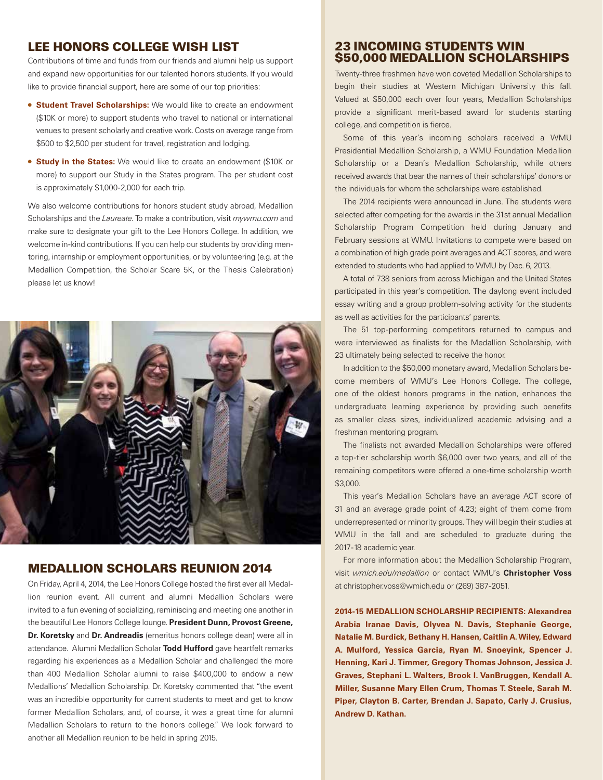### **LEE HONORS COLLEGE WISH LIST**

Contributions of time and funds from our friends and alumni help us support and expand new opportunities for our talented honors students. If you would like to provide financial support, here are some of our top priorities:

- **Student Travel Scholarships:** We would like to create an endowment (\$10K or more) to support students who travel to national or international venues to present scholarly and creative work. Costs on average range from \$500 to \$2,500 per student for travel, registration and lodging.
- **Study in the States:** We would like to create an endowment (\$10K or more) to support our Study in the States program. The per student cost is approximately \$1,000-2,000 for each trip.

We also welcome contributions for honors student study abroad, Medallion Scholarships and the *Laureate*. To make a contribution, visit *mywmu.com* and make sure to designate your gift to the Lee Honors College. In addition, we welcome in-kind contributions. If you can help our students by providing mentoring, internship or employment opportunities, or by volunteering (e.g. at the Medallion Competition, the Scholar Scare 5K, or the Thesis Celebration) please let us know!



## **MEDALLION SCHOLARS REUNION 2014**

On Friday, April 4, 2014, the Lee Honors College hosted the first ever all Medallion reunion event. All current and alumni Medallion Scholars were invited to a fun evening of socializing, reminiscing and meeting one another in the beautiful Lee Honors College lounge. President Dunn, Provost Greene, Dr. Koretsky and Dr. Andreadis (emeritus honors college dean) were all in attendance. Alumni Medallion Scholar Todd Hufford gave heartfelt remarks regarding his experiences as a Medallion Scholar and challenged the more than 400 Medallion Scholar alumni to raise \$400,000 to endow a new Medallions' Medallion Scholarship. Dr. Koretsky commented that "the event was an incredible opportunity for current students to meet and get to know former Medallion Scholars, and, of course, it was a great time for alumni Medallion Scholars to return to the honors college." We look forward to another all Medallion reunion to be held in spring 2015.

## **23 INCOMING STUDENTS WIN \$50,000 MEDALLION SCHOLARSHIPS**

Twenty-three freshmen have won coveted Medallion Scholarships to begin their studies at Western Michigan University this fall. Valued at \$50,000 each over four years, Medallion Scholarships provide a significant merit-based award for students starting college, and competition is fierce.

Some of this year's incoming scholars received a WMU Presidential Medallion Scholarship, a WMU Foundation Medallion Scholarship or a Dean's Medallion Scholarship, while others received awards that bear the names of their scholarships' donors or the individuals for whom the scholarships were established.

The 2014 recipients were announced in June. The students were selected after competing for the awards in the 31st annual Medallion Scholarship Program Competition held during January and February sessions at WMU. Invitations to compete were based on a combination of high grade point averages and ACT scores, and were extended to students who had applied to WMU by Dec. 6, 2013.

A total of 738 seniors from across Michigan and the United States participated in this year's competition. The daylong event included essay writing and a group problem-solving activity for the students as well as activities for the participants' parents.

The 51 top-performing competitors returned to campus and were interviewed as finalists for the Medallion Scholarship, with 23 ultimately being selected to receive the honor.

In addition to the \$50,000 monetary award, Medallion Scholars become members of WMU's Lee Honors College. The college, one of the oldest honors programs in the nation, enhances the undergraduate learning experience by providing such benefits as smaller class sizes, individualized academic advising and a freshman mentoring program.

The finalists not awarded Medallion Scholarships were offered a top-tier scholarship worth \$6,000 over two years, and all of the remaining competitors were offered a one-time scholarship worth \$3,000.

This year's Medallion Scholars have an average ACT score of 31 and an average grade point of 4.23; eight of them come from underrepresented or minority groups. They will begin their studies at WMU in the fall and are scheduled to graduate during the 2017-18 academic year.

For more information about the Medallion Scholarship Program, visit *wmich.edu/medallion* or contact WMU's Christopher Voss at christopher.voss@wmich.edu or (269) 387-2051.

2014-15 MEDALLION SCHOLARSHIP RECIPIENTS: Alexandrea Arabia Iranae Davis, Olyvea N. Davis, Stephanie George, Natalie M. Burdick, Bethany H. Hansen, Caitlin A. Wiley, Edward A. Mulford, Yessica Garcia, Ryan M. Snoeyink, Spencer J. Henning, Kari J. Timmer, Gregory Thomas Johnson, Jessica J. Graves, Stephani L. Walters, Brook I. VanBruggen, Kendall A. Miller, Susanne Mary Ellen Crum, Thomas T. Steele, Sarah M. Piper, Clayton B. Carter, Brendan J. Sapato, Carly J. Crusius, Andrew D. Kathan.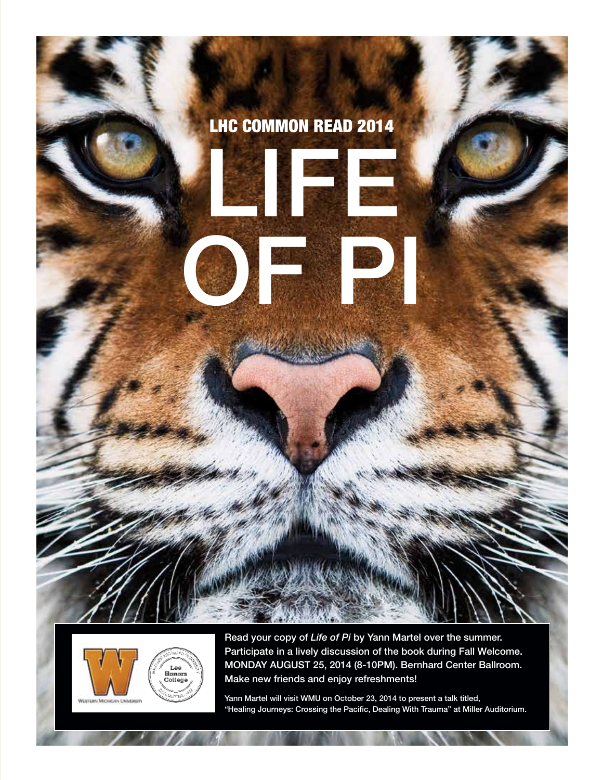



Read your copy of *Life of Pi* by Yann Martel over the summer. Participate in a lively discussion of the book during Fall Welcome. MONDAY AUGUST 25, 2014 (8-10PM). Bernhard Center Ballroom. Make new friends and enjoy refreshments!

Yann Martel will visit WMU on October 23, 2014 to present a talk titled, "Healing Journeys: Crossing the Pacific, Dealing With Trauma" at Miller Auditorium.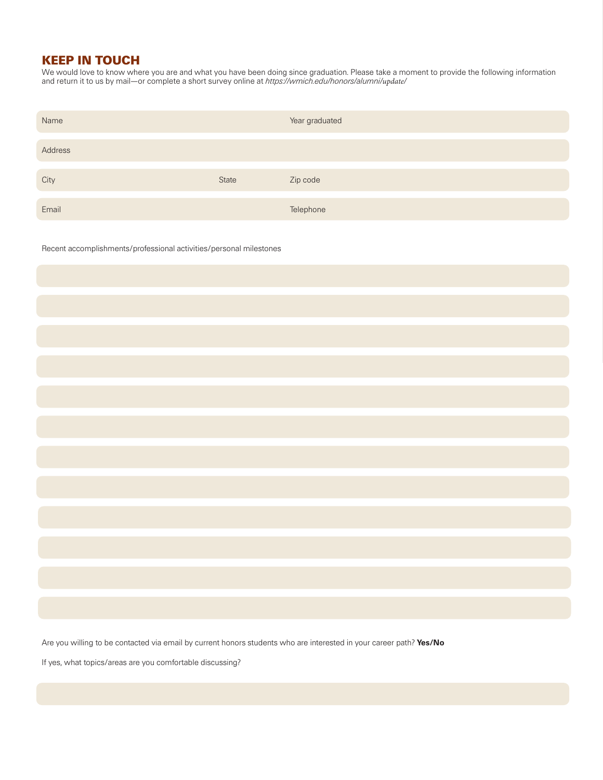# **KEEP IN TOUCH**

We would love to know where you are and what you have been doing since graduation. Please take a moment to provide the following information and return it to us by mail—or complete a short survey online at *https://wmich.edu/honors/alumni/update/*

| Name    |              | Year graduated |
|---------|--------------|----------------|
|         |              |                |
| Address |              |                |
|         |              |                |
| City    | <b>State</b> | Zip code       |
|         |              |                |
|         |              |                |
| Email   |              | Telephone      |

Recent accomplishments/professional activities/personal milestones

Are you willing to be contacted via email by current honors students who are interested in your career path? Yes/No

If yes, what topics/areas are you comfortable discussing?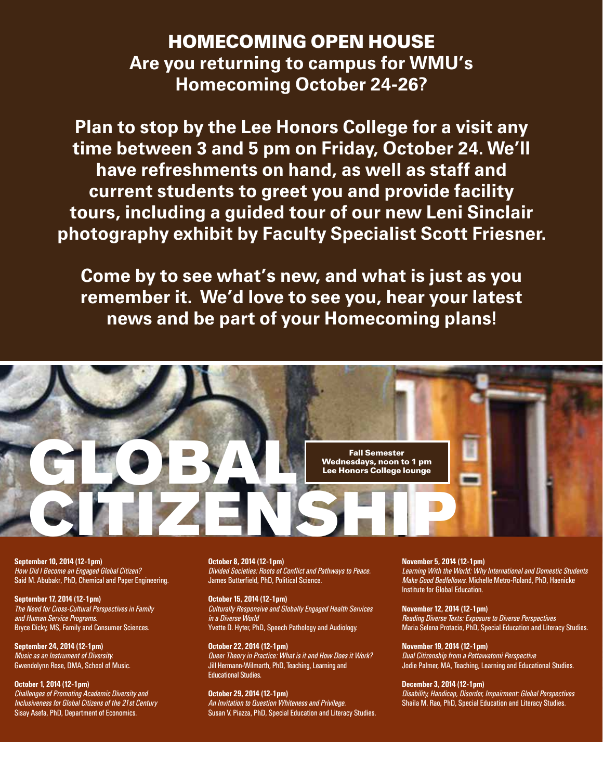# **HOMECOMING OPEN HOUSE** Are you returning to campus for WMU's Homecoming October 24-26?

Plan to stop by the Lee Honors College for a visit any time between 3 and 5 pm on Friday, October 24. We'll have refreshments on hand, as well as staff and current students to greet you and provide facility tours, including a guided tour of our new Leni Sinclair photography exhibit by Faculty Specialist Scott Friesner.

Come by to see what's new, and what is just as you remember it. We'd love to see you, hear your latest news and be part of your Homecoming plans!



September 10, 2014 (12-1pm) How Did I Become an Engaged Global Citizen? Said M. Abubakr, PhD, Chemical and Paper Engineering.

September 17, 2014 (12-1pm) The Need for Cross-Cultural Perspectives in Family and Human Service Programs. Bryce Dicky, MS, Family and Consumer Sciences.

September 24, 2014 (12-1pm) Music as an Instrument of Diversity. Gwendolynn Rose, DMA, School of Music.

October 1, 2014 (12-1pm) Challenges of Promoting Academic Diversity and Inclusiveness for Global Citizens of the 21st Century Sisay Asefa, PhD, Department of Economics.

October 8, 2014 (12-1pm) Divided Societies: Roots of Conflict and Pathways to Peace. James Butterfield, PhD, Political Science.

October 15, 2014 (12-1pm) Culturally Responsive and Globally Engaged Health Services in a Diverse World Yvette D. Hyter, PhD, Speech Pathology and Audiology.

October 22, 2014 (12-1pm) Queer Theory in Practice: What is it and How Does it Work? Jill Hermann-Wilmarth, PhD, Teaching, Learning and Educational Studies.

October 29, 2014 (12-1pm) An Invitation to Question Whiteness and Privilege. Susan V. Piazza, PhD, Special Education and Literacy Studies. November 5, 2014 (12-1pm)

Learning With the World: Why International and Domestic Students Make Good Bedfellows. Michelle Metro-Roland, PhD, Haenicke Institute for Global Education.

November 12, 2014 (12-1pm)

Reading Diverse Texts: Exposure to Diverse Perspectives Maria Selena Protacio, PhD, Special Education and Literacy Studies.

November 19, 2014 (12-1pm) Dual Citizenship from <sup>a</sup> Pottawatomi Perspective Jodie Palmer, MA, Teaching, Learning and Educational Studies.

December 3, 2014 (12-1pm)

Disability, Handicap, Disorder, Impairment: Global Perspectives Shaila M. Rao, PhD, Special Education and Literacy Studies.